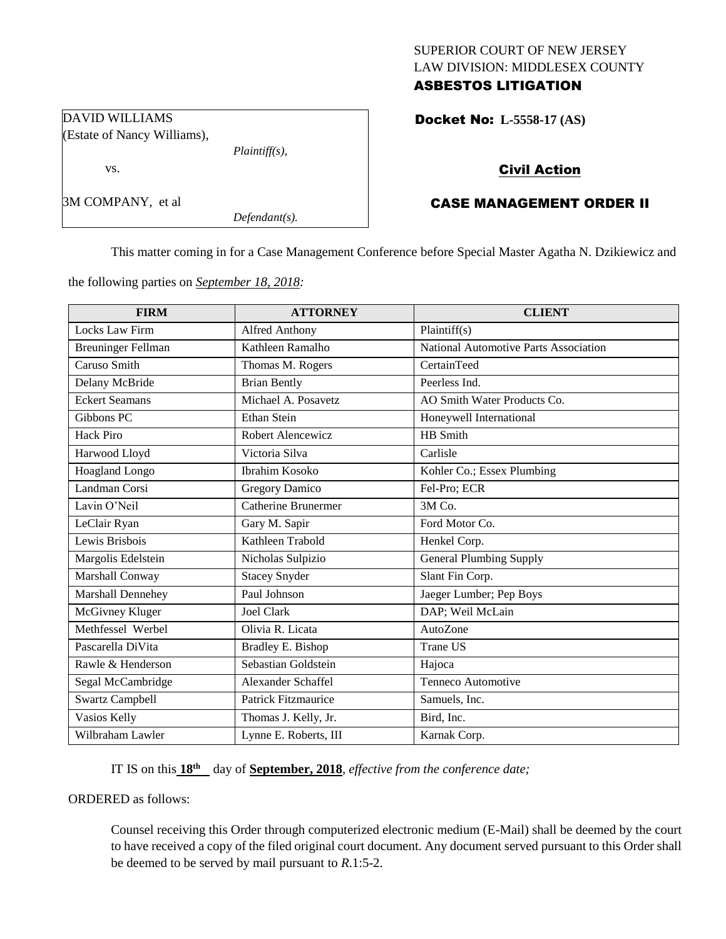# SUPERIOR COURT OF NEW JERSEY LAW DIVISION: MIDDLESEX COUNTY ASBESTOS LITIGATION

Docket No: **L-5558-17 (AS)** 

# Civil Action

# CASE MANAGEMENT ORDER II

This matter coming in for a Case Management Conference before Special Master Agatha N. Dzikiewicz and

the following parties on *September 18, 2018:*

*Plaintiff(s),*

*Defendant(s).*

| <b>FIRM</b>               | <b>ATTORNEY</b>            | <b>CLIENT</b>                         |
|---------------------------|----------------------------|---------------------------------------|
| Locks Law Firm            | Alfred Anthony             | Plaintiff(s)                          |
| <b>Breuninger Fellman</b> | Kathleen Ramalho           | National Automotive Parts Association |
| Caruso Smith              | Thomas M. Rogers           | CertainTeed                           |
| Delany McBride            | <b>Brian Bently</b>        | Peerless Ind.                         |
| <b>Eckert Seamans</b>     | Michael A. Posavetz        | AO Smith Water Products Co.           |
| Gibbons PC                | <b>Ethan Stein</b>         | Honeywell International               |
| <b>Hack Piro</b>          | Robert Alencewicz          | HB Smith                              |
| Harwood Lloyd             | Victoria Silva             | Carlisle                              |
| Hoagland Longo            | Ibrahim Kosoko             | Kohler Co.; Essex Plumbing            |
| Landman Corsi             | <b>Gregory Damico</b>      | Fel-Pro; ECR                          |
| Lavin O'Neil              | <b>Catherine Brunermer</b> | 3M Co.                                |
| LeClair Ryan              | Gary M. Sapir              | Ford Motor Co.                        |
| Lewis Brisbois            | Kathleen Trabold           | Henkel Corp.                          |
| Margolis Edelstein        | Nicholas Sulpizio          | <b>General Plumbing Supply</b>        |
| Marshall Conway           | <b>Stacey Snyder</b>       | Slant Fin Corp.                       |
| Marshall Dennehey         | Paul Johnson               | Jaeger Lumber; Pep Boys               |
| McGivney Kluger           | <b>Joel Clark</b>          | DAP; Weil McLain                      |
| Methfessel Werbel         | Olivia R. Licata           | AutoZone                              |
| Pascarella DiVita         | Bradley E. Bishop          | <b>Trane US</b>                       |
| Rawle & Henderson         | Sebastian Goldstein        | Hajoca                                |
| Segal McCambridge         | Alexander Schaffel         | Tenneco Automotive                    |
| <b>Swartz Campbell</b>    | <b>Patrick Fitzmaurice</b> | Samuels, Inc.                         |
| Vasios Kelly              | Thomas J. Kelly, Jr.       | Bird, Inc.                            |
| Wilbraham Lawler          | Lynne E. Roberts, III      | Karnak Corp.                          |

IT IS on this **18th** day of **September, 2018**, *effective from the conference date;*

ORDERED as follows:

Counsel receiving this Order through computerized electronic medium (E-Mail) shall be deemed by the court to have received a copy of the filed original court document. Any document served pursuant to this Order shall be deemed to be served by mail pursuant to *R*.1:5-2.

DAVID WILLIAMS (Estate of Nancy Williams), vs.

3M COMPANY, et al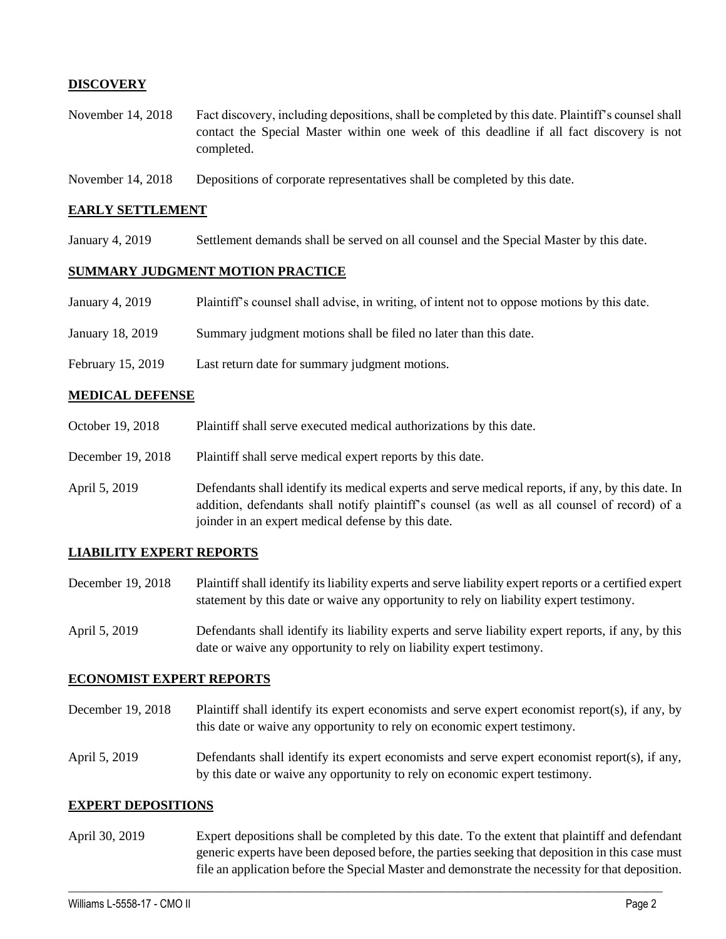# **DISCOVERY**

- November 14, 2018 Fact discovery, including depositions, shall be completed by this date. Plaintiff's counsel shall contact the Special Master within one week of this deadline if all fact discovery is not completed.
- November 14, 2018 Depositions of corporate representatives shall be completed by this date.

#### **EARLY SETTLEMENT**

January 4, 2019 Settlement demands shall be served on all counsel and the Special Master by this date.

### **SUMMARY JUDGMENT MOTION PRACTICE**

- January 4, 2019 Plaintiff's counsel shall advise, in writing, of intent not to oppose motions by this date.
- January 18, 2019 Summary judgment motions shall be filed no later than this date.
- February 15, 2019 Last return date for summary judgment motions.

#### **MEDICAL DEFENSE**

- October 19, 2018 Plaintiff shall serve executed medical authorizations by this date.
- December 19, 2018 Plaintiff shall serve medical expert reports by this date.
- April 5, 2019 Defendants shall identify its medical experts and serve medical reports, if any, by this date. In addition, defendants shall notify plaintiff's counsel (as well as all counsel of record) of a joinder in an expert medical defense by this date.

# **LIABILITY EXPERT REPORTS**

- December 19, 2018 Plaintiff shall identify its liability experts and serve liability expert reports or a certified expert statement by this date or waive any opportunity to rely on liability expert testimony.
- April 5, 2019 Defendants shall identify its liability experts and serve liability expert reports, if any, by this date or waive any opportunity to rely on liability expert testimony.

#### **ECONOMIST EXPERT REPORTS**

- December 19, 2018 Plaintiff shall identify its expert economists and serve expert economist report(s), if any, by this date or waive any opportunity to rely on economic expert testimony.
- April 5, 2019 Defendants shall identify its expert economists and serve expert economist report(s), if any, by this date or waive any opportunity to rely on economic expert testimony.

#### **EXPERT DEPOSITIONS**

April 30, 2019 Expert depositions shall be completed by this date. To the extent that plaintiff and defendant generic experts have been deposed before, the parties seeking that deposition in this case must file an application before the Special Master and demonstrate the necessity for that deposition.

 $\_$  ,  $\_$  ,  $\_$  ,  $\_$  ,  $\_$  ,  $\_$  ,  $\_$  ,  $\_$  ,  $\_$  ,  $\_$  ,  $\_$  ,  $\_$  ,  $\_$  ,  $\_$  ,  $\_$  ,  $\_$  ,  $\_$  ,  $\_$  ,  $\_$  ,  $\_$  ,  $\_$  ,  $\_$  ,  $\_$  ,  $\_$  ,  $\_$  ,  $\_$  ,  $\_$  ,  $\_$  ,  $\_$  ,  $\_$  ,  $\_$  ,  $\_$  ,  $\_$  ,  $\_$  ,  $\_$  ,  $\_$  ,  $\_$  ,